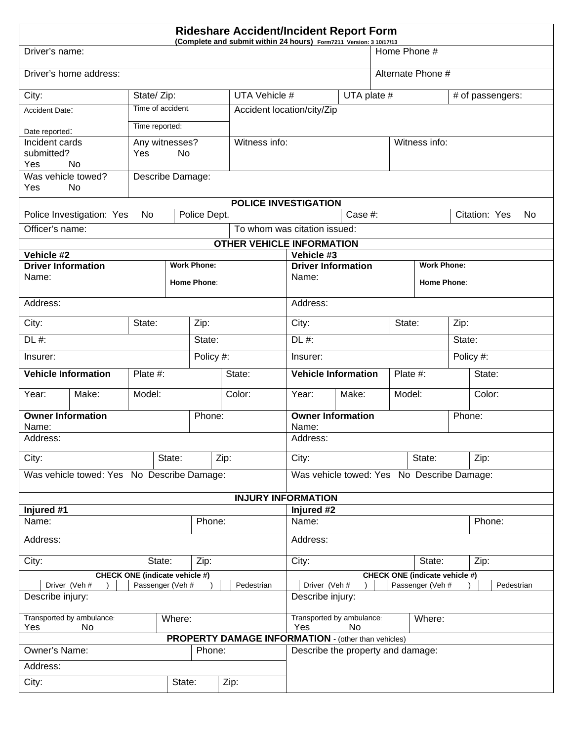|                                                                     | <b>Rideshare Accident/Incident Report Form</b><br>(Complete and submit within 24 hours) Form7211 Version: 3 10/17/13 |           |      |                    |               |                                        |                                                                            |                          |                                   |                   |                    |               |            |                     |  |  |  |
|---------------------------------------------------------------------|----------------------------------------------------------------------------------------------------------------------|-----------|------|--------------------|---------------|----------------------------------------|----------------------------------------------------------------------------|--------------------------|-----------------------------------|-------------------|--------------------|---------------|------------|---------------------|--|--|--|
| Driver's name:                                                      |                                                                                                                      |           |      |                    |               |                                        |                                                                            |                          |                                   | Home Phone #      |                    |               |            |                     |  |  |  |
| Driver's home address:                                              |                                                                                                                      |           |      |                    |               |                                        |                                                                            |                          |                                   | Alternate Phone # |                    |               |            |                     |  |  |  |
| City:<br>State/Zip:                                                 |                                                                                                                      |           |      |                    |               | UTA Vehicle #                          |                                                                            |                          |                                   | UTA plate #       |                    |               |            | # of passengers:    |  |  |  |
| Time of accident.<br>Accident Date:                                 |                                                                                                                      |           |      |                    |               | Accident location/city/Zip             |                                                                            |                          |                                   |                   |                    |               |            |                     |  |  |  |
| Time reported:<br>Date reported:                                    |                                                                                                                      |           |      |                    |               |                                        |                                                                            |                          |                                   |                   |                    |               |            |                     |  |  |  |
| Incident cards<br>Any witnesses?                                    |                                                                                                                      |           |      |                    | Witness info: |                                        |                                                                            |                          |                                   |                   |                    | Witness info: |            |                     |  |  |  |
| submitted?<br>No<br>Yes<br>Yes<br>No                                |                                                                                                                      |           |      |                    |               |                                        |                                                                            |                          |                                   |                   |                    |               |            |                     |  |  |  |
| Was vehicle towed?<br>Describe Damage:                              |                                                                                                                      |           |      |                    |               |                                        |                                                                            |                          |                                   |                   |                    |               |            |                     |  |  |  |
| Yes<br>No                                                           |                                                                                                                      |           |      |                    |               |                                        |                                                                            |                          |                                   |                   |                    |               |            |                     |  |  |  |
|                                                                     | Police Investigation: Yes                                                                                            | <b>No</b> |      | Police Dept.       |               | <b>POLICE INVESTIGATION</b><br>Case #: |                                                                            |                          |                                   |                   |                    |               |            | Citation: Yes<br>No |  |  |  |
| Officer's name:                                                     |                                                                                                                      |           |      |                    |               | To whom was citation issued:           |                                                                            |                          |                                   |                   |                    |               |            |                     |  |  |  |
| <b>OTHER VEHICLE INFORMATION</b>                                    |                                                                                                                      |           |      |                    |               |                                        |                                                                            |                          |                                   |                   |                    |               |            |                     |  |  |  |
| Vehicle #2                                                          |                                                                                                                      |           |      |                    |               |                                        | Vehicle #3<br><b>Work Phone:</b>                                           |                          |                                   |                   |                    |               |            |                     |  |  |  |
| <b>Driver Information</b><br>Name:                                  |                                                                                                                      |           |      | <b>Work Phone:</b> |               |                                        | <b>Driver Information</b><br>Name:                                         |                          |                                   |                   |                    |               |            |                     |  |  |  |
|                                                                     |                                                                                                                      |           |      | <b>Home Phone:</b> |               |                                        |                                                                            |                          |                                   |                   | <b>Home Phone:</b> |               |            |                     |  |  |  |
| Address:                                                            |                                                                                                                      |           |      |                    |               |                                        | Address:                                                                   |                          |                                   |                   |                    |               |            |                     |  |  |  |
| City:<br>State:                                                     |                                                                                                                      |           |      |                    | Zip:          |                                        |                                                                            | City:                    |                                   |                   | State:             | Zip:          |            |                     |  |  |  |
| $DL$ #:<br>State:                                                   |                                                                                                                      |           |      |                    |               |                                        | $DL$ #:                                                                    |                          |                                   |                   |                    |               | State:     |                     |  |  |  |
| Policy #:<br>Insurer:                                               |                                                                                                                      |           |      |                    |               | Insurer:                               |                                                                            |                          |                                   |                   |                    | Policy #:     |            |                     |  |  |  |
| Plate #:<br><b>Vehicle Information</b>                              |                                                                                                                      |           |      | State:             |               |                                        | <b>Vehicle Information</b>                                                 |                          |                                   | Plate #:          |                    |               | State:     |                     |  |  |  |
| Year:                                                               | Make:                                                                                                                | Model:    |      |                    |               | Color:                                 |                                                                            | Make:<br>Model:<br>Year: |                                   |                   |                    | Color:        |            |                     |  |  |  |
| <b>Owner Information</b><br>Phone:                                  |                                                                                                                      |           |      |                    |               |                                        | <b>Owner Information</b>                                                   |                          |                                   |                   |                    | Phone:        |            |                     |  |  |  |
| Name:<br>Address:                                                   |                                                                                                                      |           |      |                    |               |                                        |                                                                            | Name:<br>Address:        |                                   |                   |                    |               |            |                     |  |  |  |
| City:<br>State:                                                     |                                                                                                                      |           | Zip: |                    |               | City:                                  |                                                                            |                          |                                   | State:            |                    | Zip:          |            |                     |  |  |  |
| Was vehicle towed: Yes No Describe Damage:                          |                                                                                                                      |           |      |                    |               |                                        | Was vehicle towed: Yes No Describe Damage:                                 |                          |                                   |                   |                    |               |            |                     |  |  |  |
|                                                                     |                                                                                                                      |           |      |                    |               | <b>INJURY INFORMATION</b>              |                                                                            |                          |                                   |                   |                    |               |            |                     |  |  |  |
| Injured #1                                                          |                                                                                                                      |           |      |                    |               |                                        | Injured #2                                                                 |                          |                                   |                   |                    |               |            |                     |  |  |  |
| Phone:<br>Name:                                                     |                                                                                                                      |           |      |                    |               | Name:                                  |                                                                            |                          |                                   |                   |                    | Phone:        |            |                     |  |  |  |
| Address:                                                            |                                                                                                                      |           |      |                    |               |                                        | Address:                                                                   |                          |                                   |                   |                    |               |            |                     |  |  |  |
| City:<br>State:<br>Zip:                                             |                                                                                                                      |           |      |                    |               |                                        | City:<br>State:                                                            |                          |                                   |                   |                    |               | Zip:       |                     |  |  |  |
| <b>CHECK ONE (indicate vehicle #)</b>                               |                                                                                                                      |           |      |                    |               |                                        | <b>CHECK ONE (indicate vehicle #)</b><br>Driver (Veh #<br>Passenger (Veh # |                          |                                   |                   |                    |               | Pedestrian |                     |  |  |  |
| Driver (Veh #<br>Passenger (Veh #<br>Pedestrian<br>Describe injury: |                                                                                                                      |           |      |                    |               |                                        |                                                                            | Describe injury:         |                                   |                   |                    |               |            |                     |  |  |  |
| Transported by ambulance:                                           |                                                                                                                      |           |      |                    |               | Transported by ambulance:<br>Where:    |                                                                            |                          |                                   |                   |                    |               |            |                     |  |  |  |
| Where:<br>Yes<br>No                                                 |                                                                                                                      |           |      |                    |               |                                        | Yes<br>No<br><b>PROPERTY DAMAGE INFORMATION - (other than vehicles)</b>    |                          |                                   |                   |                    |               |            |                     |  |  |  |
| Owner's Name:<br>Phone:                                             |                                                                                                                      |           |      |                    |               |                                        |                                                                            |                          | Describe the property and damage: |                   |                    |               |            |                     |  |  |  |
| Address:                                                            |                                                                                                                      |           |      |                    |               |                                        |                                                                            |                          |                                   |                   |                    |               |            |                     |  |  |  |
| City:<br>State:<br>Zip:                                             |                                                                                                                      |           |      |                    |               |                                        |                                                                            |                          |                                   |                   |                    |               |            |                     |  |  |  |
|                                                                     |                                                                                                                      |           |      |                    |               |                                        |                                                                            |                          |                                   |                   |                    |               |            |                     |  |  |  |